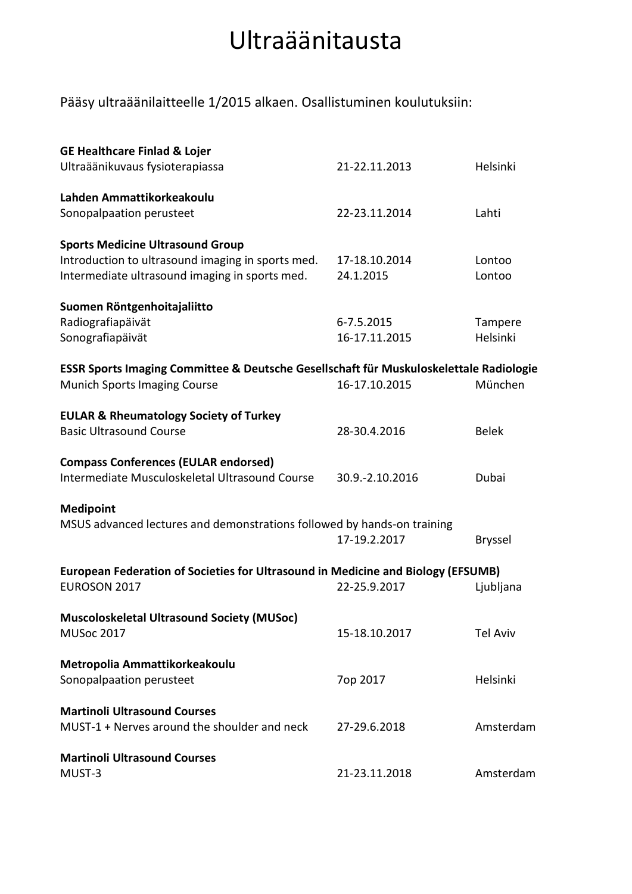## Ultraäänitausta

Pääsy ultraäänilaitteelle 1/2015 alkaen. Osallistuminen koulutuksiin:

| <b>GE Healthcare Finlad &amp; Lojer</b>                                                |                 |                 |  |
|----------------------------------------------------------------------------------------|-----------------|-----------------|--|
| Ultraäänikuvaus fysioterapiassa                                                        | 21-22.11.2013   | Helsinki        |  |
|                                                                                        |                 |                 |  |
| Lahden Ammattikorkeakoulu                                                              |                 |                 |  |
| Sonopalpaation perusteet                                                               | 22-23.11.2014   | Lahti           |  |
| <b>Sports Medicine Ultrasound Group</b>                                                |                 |                 |  |
| Introduction to ultrasound imaging in sports med.                                      | 17-18.10.2014   | Lontoo          |  |
| Intermediate ultrasound imaging in sports med.                                         | 24.1.2015       | Lontoo          |  |
|                                                                                        |                 |                 |  |
| Suomen Röntgenhoitajaliitto                                                            |                 |                 |  |
| Radiografiapäivät                                                                      | 6-7.5.2015      | Tampere         |  |
| Sonografiapäivät                                                                       | 16-17.11.2015   | Helsinki        |  |
|                                                                                        |                 |                 |  |
| ESSR Sports Imaging Committee & Deutsche Gesellschaft für Muskuloskelettale Radiologie |                 |                 |  |
| <b>Munich Sports Imaging Course</b>                                                    | 16-17.10.2015   | München         |  |
|                                                                                        |                 |                 |  |
| <b>EULAR &amp; Rheumatology Society of Turkey</b>                                      |                 |                 |  |
| <b>Basic Ultrasound Course</b>                                                         | 28-30.4.2016    | <b>Belek</b>    |  |
| <b>Compass Conferences (EULAR endorsed)</b>                                            |                 |                 |  |
| Intermediate Musculoskeletal Ultrasound Course                                         | 30.9.-2.10.2016 | Dubai           |  |
|                                                                                        |                 |                 |  |
| <b>Medipoint</b>                                                                       |                 |                 |  |
| MSUS advanced lectures and demonstrations followed by hands-on training                |                 |                 |  |
|                                                                                        | 17-19.2.2017    | Bryssel         |  |
|                                                                                        |                 |                 |  |
| European Federation of Societies for Ultrasound in Medicine and Biology (EFSUMB)       |                 |                 |  |
| EUROSON 2017                                                                           | 22-25.9.2017    | Ljubljana       |  |
|                                                                                        |                 |                 |  |
| <b>Muscoloskeletal Ultrasound Society (MUSoc)</b>                                      |                 |                 |  |
| <b>MUSoc 2017</b>                                                                      | 15-18.10.2017   | <b>Tel Aviv</b> |  |
|                                                                                        |                 |                 |  |
| Metropolia Ammattikorkeakoulu                                                          |                 |                 |  |
| Sonopalpaation perusteet                                                               | 7op 2017        | Helsinki        |  |
| <b>Martinoli Ultrasound Courses</b>                                                    |                 |                 |  |
| MUST-1 + Nerves around the shoulder and neck                                           | 27-29.6.2018    | Amsterdam       |  |
|                                                                                        |                 |                 |  |
| <b>Martinoli Ultrasound Courses</b>                                                    |                 |                 |  |
| MUST-3                                                                                 | 21-23.11.2018   | Amsterdam       |  |